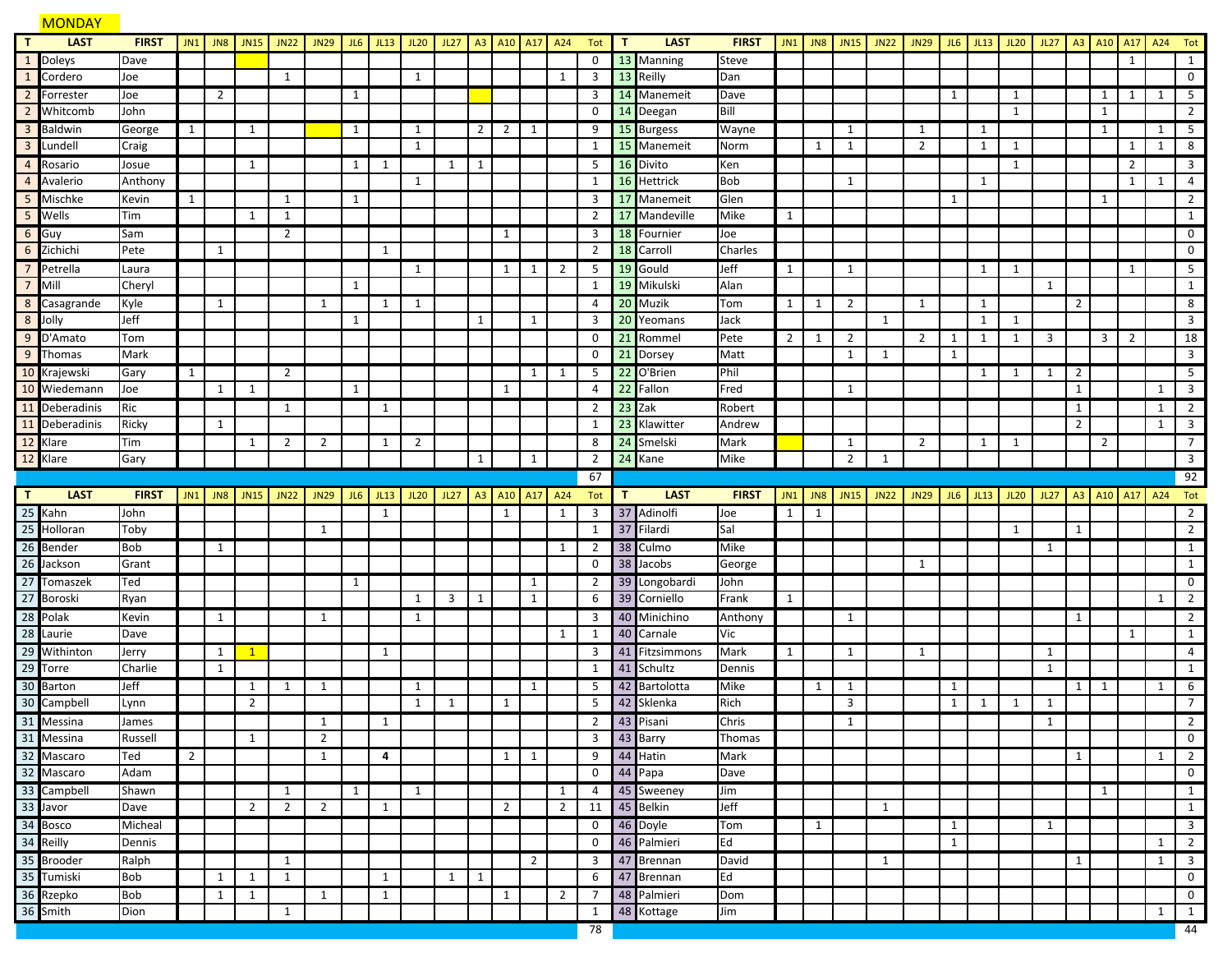### **MONDAY T LAST FIRST** JN1 JN8 JN15 JN22 JN29 JL6 JL13 JL20 JL27 A3 A10 A17 A24 Tot **T LAST FIRST** JN1 JN8 JN15 JN22 JN29 JL6 JL13 JL20 JL27 A3 A10 A17 A24 Tot Doleys Dave 0 13 Manning Steve 1 1 Cordero Joe 1 1 1 3 13 Reilly Dan 0 Forrester Joe 2 1 3 14 Manemeit Dave 1 1 1 1 1 5 Whitcomb John 0 14 Deegan Bill 1 1 2 Baldwin George 1 1 1 1 2 2 1 9 15 Burgess Wayne 1 1 1 1 1 5 Lundell Craig 1 1 15 Manemeit Norm 1 1 2 1 1 1 1 8 Rosario Josue 1 1 1 1 1 5 16 Divito Ken 1 2 3 Avalerio Anthony 1 1 16 Hettrick Bob 1 1 1 1 4 Mischke Kevin 1 1 1 3 17 Manemeit Glen 1 1 2 <mark>5 </mark>Wells | Tim |||1|1||||||||||||2<mark>17</mark> Mandeville | Mike |1|||||||||||||||1 Guy Sam 2 1 3 18 Fournier Joe 0 6 Zichichi |Pete ||1||||||1|||||||||2 <mark>18</mark> Carroll |Charles |||||||||||||||0 Petrella Laura 1 1 1 2 5 19 Gould Jeff 1 1 1 1 1 5 Mill Cheryl 1 1 19 Mikulski Alan 1 1 Casagrande Kyle 1 1 1 1 4 20 Muzik Tom 1 1 2 1 1 2 8 Jolly Jeff 1 1 1 3 20 Yeomans Jack 1 1 1 3 9 D'Amato |Tom || || || || || || || || || 0 <mark>21</mark> Rommel |Pete || 2 || 1 || 2 || 1 || 1 || 3 || 3 || 2 || 18 Thomas Mark 0 21 Dorsey Matt 1 1 1 3 Krajewski Gary 1 2 1 1 5 22 O'Brien Phil 1 1 1 2 5 Wiedemann Joe 1 1 1 1 4 22 Fallon Fred 1 1 1 3 Deberadinis Ric 1 1 2 23 Zak Robert 1 1 2

|                 | 12 Klare       | Gary         |   |              |                |              |                                                                                     |   |              |   |              |                | 1              |                | $\overline{2}$ |   | 24 Kane        | Mike         |   |              | 2              |                                                    |   |              |   |   |      |    |              |              |                    | 3              |
|-----------------|----------------|--------------|---|--------------|----------------|--------------|-------------------------------------------------------------------------------------|---|--------------|---|--------------|----------------|----------------|----------------|----------------|---|----------------|--------------|---|--------------|----------------|----------------------------------------------------|---|--------------|---|---|------|----|--------------|--------------|--------------------|----------------|
|                 |                |              |   |              |                |              |                                                                                     |   |              |   |              |                |                |                | 67             |   |                |              |   |              |                |                                                    |   |              |   |   |      | 92 |              |              |                    |                |
| $\mathbf{T}$    | <b>LAST</b>    | <b>FIRST</b> |   |              |                |              | 124   142   143   142   1429   1429   1421   1428   1429   1424   1428   1424   142 |   |              |   |              |                |                |                | Tot            | п | <b>LAST</b>    | <b>FIRST</b> |   |              |                | JN1   JN8   JN15   JN22   JN29   JL6   JL13   JL20 |   |              |   |   | JL27 |    |              |              | A3 A10 A17 A24 Tot |                |
|                 | 25 Kahn        | John         |   |              |                |              |                                                                                     |   | 1            |   |              | 1              |                | 1              | 3              |   | 37 Adinolfi    | Joe          | 1 | 1            |                |                                                    |   |              |   |   |      |    |              |              |                    | $\overline{2}$ |
| 25              | Holloran       | Toby         |   |              |                |              | 1                                                                                   |   |              |   |              |                |                |                | 1              |   | 37 Filardi     | Sal          |   |              |                |                                                    |   |              |   | 1 |      | 1  |              |              |                    | $\overline{2}$ |
|                 | 26 Bender      | <b>Bob</b>   |   | 1            |                |              |                                                                                     |   |              |   |              |                |                | 1              | 2              |   | 38 Culmo       | Mike         |   |              |                |                                                    |   |              |   |   | 1    |    |              |              |                    | 1              |
|                 | 26 Jackson     | Grant        |   |              |                |              |                                                                                     |   |              |   |              |                |                |                | $\mathbf 0$    |   | 38 Jacobs      | George       |   |              |                |                                                    | 1 |              |   |   |      |    |              |              |                    | $\mathbf{1}$   |
|                 | 27 Tomaszek    | Ted          |   |              |                |              |                                                                                     | 1 |              |   |              |                | 1              |                | $\overline{2}$ |   | 39 Longobardi  | John         |   |              |                |                                                    |   |              |   |   |      |    |              |              |                    | 0              |
| 27              | <b>Boroski</b> | Ryan         |   |              |                |              |                                                                                     |   |              | 1 | 3            |                | $\mathbf{1}$   |                | 6              |   | 39 Corniello   | Frank        | 1 |              |                |                                                    |   |              |   |   |      |    |              |              | $\mathbf{1}$       | $\overline{2}$ |
|                 | 28 Polak       | Kevin        |   | 1            |                |              | $\mathbf{1}$                                                                        |   |              |   |              |                |                |                | 3              |   | 40 Minichino   | Anthony      |   |              | $\mathbf{1}$   |                                                    |   |              |   |   |      |    |              |              |                    | $\overline{2}$ |
|                 | 28 Laurie      | Dave         |   |              |                |              |                                                                                     |   |              |   |              |                |                | $\mathbf{1}$   | 1              |   | 40 Carnale     | <b>Vic</b>   |   |              |                |                                                    |   |              |   |   |      |    |              | $\mathbf{1}$ |                    | 1              |
| $\overline{29}$ | Withinton      | Jerry        |   | 1            |                |              |                                                                                     |   | $\mathbf{1}$ |   |              |                |                |                | 3              |   | 41 Fitzsimmons | Mark         | 1 |              | 1              |                                                    | 1 |              |   |   | 1    |    |              |              |                    | 4              |
| 29              | Torre          | Charlie      |   | $\mathbf{1}$ |                |              |                                                                                     |   |              |   |              |                |                |                | 1              |   | 41 Schultz     | Dennis       |   |              |                |                                                    |   |              |   |   | 1    |    |              |              |                    | $\mathbf{1}$   |
|                 | 30 Barton      | Jeff         |   |              | 1              | 1            | 1                                                                                   |   |              | 1 |              |                | 1              |                | 5              |   | 42 Bartolotta  | Mike         |   | $\mathbf{1}$ | 1              |                                                    |   | 1            |   |   |      |    | 1            |              | $\mathbf{1}$       | 6              |
| 30 <sup>°</sup> | Campbell       | Lynn         |   |              | $\overline{2}$ |              |                                                                                     |   |              | 1 | 1            | 1              |                |                | -5             |   | 42 Sklenka     | Rich         |   |              | $\overline{3}$ |                                                    |   | $\mathbf{1}$ | 1 | 1 | 1    |    |              |              |                    | $\overline{7}$ |
|                 | 31 Messina     | James        |   |              |                |              | 1                                                                                   |   | 1            |   |              |                |                |                | 2              |   | 43 Pisani      | Chris        |   |              | 1              |                                                    |   |              |   |   |      |    |              |              |                    | $\overline{2}$ |
|                 | 31 Messina     | Russell      |   |              | 1              |              | $\overline{2}$                                                                      |   |              |   |              |                |                |                | 3              |   | 43 Barry       | Thomas       |   |              |                |                                                    |   |              |   |   |      |    |              |              |                    | 0              |
|                 | 32 Mascaro     | Ted          | 2 |              |                |              | 1                                                                                   |   | 4            |   |              |                | 1              |                | 9              |   | 44 Hatin       | Mark         |   |              |                |                                                    |   |              |   |   |      |    |              |              | 1                  | $\overline{2}$ |
|                 | 32 Mascaro     | Adam         |   |              |                |              |                                                                                     |   |              |   |              |                |                |                | $\mathbf 0$    |   | 44 Papa        | Dave         |   |              |                |                                                    |   |              |   |   |      |    |              |              |                    | 0              |
|                 | 33 Campbell    | Shawn        |   |              |                | -1           |                                                                                     | 1 |              | 1 |              |                |                | 1              | $\overline{a}$ |   | 45 Sweeney     | Jim          |   |              |                |                                                    |   |              |   |   |      |    | $\mathbf{1}$ |              |                    | 1              |
|                 | 33 Javor       | Dave         |   |              | $\overline{2}$ | 2            | $\overline{2}$                                                                      |   | 1            |   |              | $\overline{2}$ |                | $\overline{2}$ | 11             |   | 45 Belkin      | Jeff         |   |              |                | 1                                                  |   |              |   |   |      |    |              |              |                    | $\mathbf{1}$   |
|                 | 34 Bosco       | Micheal      |   |              |                |              |                                                                                     |   |              |   |              |                |                |                | $\mathbf 0$    |   | 46 Doyle       | Tom          |   | 1            |                |                                                    |   | 1            |   |   | 1    |    |              |              |                    | 3              |
|                 | 34 Reilly      | Dennis       |   |              |                |              |                                                                                     |   |              |   |              |                |                |                | 0              |   | 46 Palmieri    | Ed           |   |              |                |                                                    |   | 1            |   |   |      |    |              |              | 1                  | $\overline{2}$ |
|                 | 35 Brooder     | Ralph        |   |              |                | 1            |                                                                                     |   |              |   |              |                | $\overline{2}$ |                | 3              |   | 47 Brennan     | David        |   |              |                |                                                    |   |              |   |   |      |    |              |              | $\mathbf{1}$       | 3              |
|                 | 35 Tumiski     | <b>Bob</b>   |   | 1            |                |              |                                                                                     |   | $\mathbf{1}$ |   | $\mathbf{1}$ |                |                |                | 6              |   | 47 Brennan     | Ed           |   |              |                |                                                    |   |              |   |   |      |    |              |              |                    | 0              |
|                 | 36 Rzepko      | <b>Bob</b>   |   | 1            | 1              |              | $\mathbf{1}$                                                                        |   | 1            |   |              | $\mathbf{1}$   |                | 2              | $\overline{7}$ |   | 48 Palmieri    | Dom          |   |              |                |                                                    |   |              |   |   |      |    |              |              |                    | 0              |
|                 | 36 Smith       | Dion         |   |              |                | $\mathbf{1}$ |                                                                                     |   |              |   |              |                |                |                | 1              |   | 48 Kottage     | Jim          |   |              |                |                                                    |   |              |   |   |      |    |              |              | $\mathbf{1}$       | $\mathbf{1}$   |
|                 |                |              |   |              |                |              |                                                                                     |   |              |   |              |                |                |                | 78             |   |                |              |   |              |                |                                                    |   |              |   |   |      |    |              |              |                    | 44             |

 Deberadinis Ricky 1 1 23 Klawitter Andrew 2 1 3 Klare Tim 1 2 2 1 2 8 24 Smelski Mark 1 2 1 1 2 7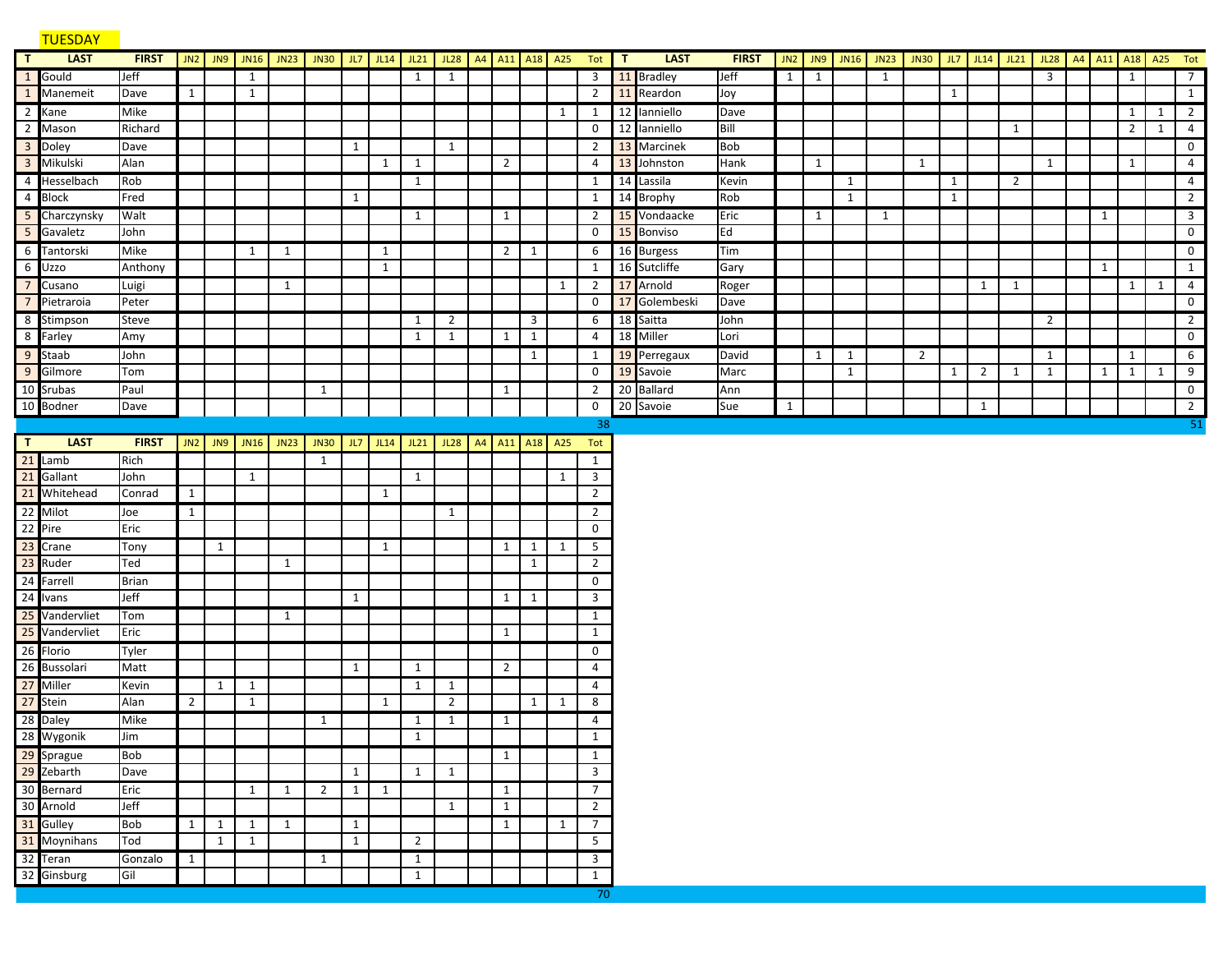## TUESDAY

| $\mathbf{T}$     | <b>LAST</b>    | <b>FIRST</b> |                |              |              | <b>JN2 JN9 JN16</b> JN23 | JN30           | JL7          | JL14         | JL21           | JL28 A4 A11 A18 A25 |                |              |              | Tot                     | $\mathbf{T}$ | <b>LAST</b>   | <b>FIRST</b> | JN2          | J <sub>N9</sub> | JN16         | JN23 | JN30 JL7 JL14 JL21 |              |                |                | JL28 A4 A11 A18 A25 Tot |              |                |   |                 |
|------------------|----------------|--------------|----------------|--------------|--------------|--------------------------|----------------|--------------|--------------|----------------|---------------------|----------------|--------------|--------------|-------------------------|--------------|---------------|--------------|--------------|-----------------|--------------|------|--------------------|--------------|----------------|----------------|-------------------------|--------------|----------------|---|-----------------|
|                  | 1 Gould        | Jeff         |                |              | 1            |                          |                |              |              | 1              | 1                   |                |              |              | 3                       |              | 11 Bradley    | Jeff         | $\mathbf{1}$ | 1               |              | 1    |                    |              |                |                | $\overline{3}$          |              | 1              |   | $7\overline{ }$ |
|                  | 1 Manemeit     | Dave         | 1              |              | 1            |                          |                |              |              |                |                     |                |              |              | $\overline{2}$          |              | 11 Reardon    | Joy          |              |                 |              |      |                    | 1            |                |                |                         |              |                |   | 1               |
|                  | 2 Kane         | Mike         |                |              |              |                          |                |              |              |                |                     |                |              | 1            | 1                       |              | 12 Ianniello  | Dave         |              |                 |              |      |                    |              |                |                |                         |              | $1 \mid$       | 1 | $\overline{2}$  |
|                  | 2 Mason        | Richard      |                |              |              |                          |                |              |              |                |                     |                |              |              | $\mathbf 0$             |              | 12 Ianniello  | Bill         |              |                 |              |      |                    |              |                | $\mathbf{1}$   |                         |              | 2 <sup>1</sup> | 1 | $\overline{a}$  |
|                  | 3 Doley        | Dave         |                |              |              |                          |                | 1            |              |                | 1                   |                |              |              | $\overline{2}$          |              | 13 Marcinek   | <b>Bob</b>   |              |                 |              |      |                    |              |                |                |                         |              |                |   | $\mathbf{0}$    |
| $\overline{3}$   | Mikulski       | Alan         |                |              |              |                          |                |              | $\mathbf{1}$ | 1              |                     | $\overline{2}$ |              |              | 4                       |              | 13 Johnston   | Hank         |              | $\mathbf{1}$    |              |      | 1                  |              |                |                | 1                       |              | 1              |   | $\overline{4}$  |
| $\overline{4}$   | Hesselbach     | Rob          |                |              |              |                          |                |              |              | 1              |                     |                |              |              | 1                       |              | 14 Lassila    | Kevin        |              |                 | 1            |      |                    | 1            |                | $\overline{2}$ |                         |              |                |   | $\overline{a}$  |
|                  | 4 Block        | Fred         |                |              |              |                          |                | $\mathbf{1}$ |              |                |                     |                |              |              | 1                       |              | 14 Brophy     | Rob          |              |                 | $\mathbf{1}$ |      |                    | $\mathbf{1}$ |                |                |                         |              |                |   | $\overline{2}$  |
|                  | 5 Charczynsky  | Walt         |                |              |              |                          |                |              |              | 1              |                     | 1              |              |              | $\overline{2}$          |              | 15 Vondaacke  | Eric         |              | $\mathbf{1}$    |              | 1    |                    |              |                |                |                         | 1            |                |   | $\overline{3}$  |
|                  | 5 Gavaletz     | John         |                |              |              |                          |                |              |              |                |                     |                |              |              | 0                       |              | 15 Bonviso    | Ed           |              |                 |              |      |                    |              |                |                |                         |              |                |   | $\mathsf{O}$    |
|                  | 6 Tantorski    | Mike         |                |              | 1            | 1                        |                |              | $\mathbf{1}$ |                |                     | $\overline{2}$ | 1            |              | 6                       |              | 16 Burgess    | Tim          |              |                 |              |      |                    |              |                |                |                         |              |                |   | $\mathsf{O}$    |
| $\boldsymbol{6}$ | Uzzo           | Anthony      |                |              |              |                          |                |              | $\mathbf{1}$ |                |                     |                |              |              | 1                       |              | 16 Sutcliffe  | Gary         |              |                 |              |      |                    |              |                |                |                         | $\mathbf{1}$ |                |   | $\mathbf{1}$    |
| $\overline{7}$   | Cusano         | Luigi        |                |              |              | $\mathbf{1}$             |                |              |              |                |                     |                |              | 1            |                         |              | 2 17 Arnold   | Roger        |              |                 |              |      |                    |              | 1              | 1              |                         |              | $1 \mid$       | 1 | $\overline{a}$  |
| $\overline{7}$   | Pietraroia     | Peter        |                |              |              |                          |                |              |              |                |                     |                |              |              | 0                       |              | 17 Golembeski | Dave         |              |                 |              |      |                    |              |                |                |                         |              |                |   | $\mathsf{O}$    |
|                  | 8 Stimpson     | Steve        |                |              |              |                          |                |              |              | 1              | $\overline{2}$      |                | $\mathbf{3}$ |              | 6                       |              | 18 Saitta     | John         |              |                 |              |      |                    |              |                |                | 2                       |              |                |   | $\overline{2}$  |
|                  | 8 Farley       | Amy          |                |              |              |                          |                |              |              | $\mathbf{1}$   | $\mathbf{1}$        | $\mathbf{1}$   | $\mathbf{1}$ |              | $\overline{4}$          |              | 18 Miller     | Lori         |              |                 |              |      |                    |              |                |                |                         |              |                |   | $\mathsf 0$     |
|                  | 9 Staab        | John         |                |              |              |                          |                |              |              |                |                     |                | $\mathbf{1}$ |              | 1                       |              | 19 Perregaux  | David        |              | 1               | 1            |      | 2                  |              |                |                | 1                       |              | 1              |   | 6               |
| 9                | Gilmore        | Tom          |                |              |              |                          |                |              |              |                |                     |                |              |              | $\mathbf 0$             |              | 19 Savoie     | Marc         |              |                 | $\mathbf{1}$ |      |                    | 1            | $\overline{2}$ | 1              | $\mathbf{1}$            | $\mathbf{1}$ | 1              | 1 | $\overline{9}$  |
|                  | 10 Srubas      | Paul         |                |              |              |                          | 1              |              |              |                |                     | 1              |              |              | $\overline{2}$          |              | 20 Ballard    | Ann          |              |                 |              |      |                    |              |                |                |                         |              |                |   | $\overline{0}$  |
|                  | 10 Bodner      | Dave         |                |              |              |                          |                |              |              |                |                     |                |              |              | 0                       |              | 20 Savoie     | Sue          | $\mathbf{1}$ |                 |              |      |                    |              | $\mathbf{1}$   |                |                         |              |                |   | $\overline{2}$  |
|                  |                |              |                |              |              |                          |                |              |              |                |                     |                |              |              | 38                      |              |               |              |              |                 |              |      |                    |              |                |                |                         |              |                |   | 51              |
| $\mathsf{T}$     | <b>LAST</b>    | <b>FIRST</b> |                |              |              | JN2 JN9 JN16 JN23        | JN30           |              | $JL7$ $JL14$ | JL21           | JL28 A4 A11 A18 A25 |                |              |              | Tot                     |              |               |              |              |                 |              |      |                    |              |                |                |                         |              |                |   |                 |
|                  | $21$ Lamb      | Rich         |                |              |              |                          | $\mathbf{1}$   |              |              |                |                     |                |              |              | $\mathbf{1}$            |              |               |              |              |                 |              |      |                    |              |                |                |                         |              |                |   |                 |
|                  | 21 Gallant     | John         |                |              | $\mathbf{1}$ |                          |                |              |              | $\mathbf{1}$   |                     |                |              | $\mathbf{1}$ | $\overline{3}$          |              |               |              |              |                 |              |      |                    |              |                |                |                         |              |                |   |                 |
|                  | 21 Whitehead   | Conrad       | $\mathbf{1}$   |              |              |                          |                |              | $\mathbf{1}$ |                |                     |                |              |              | $\overline{2}$          |              |               |              |              |                 |              |      |                    |              |                |                |                         |              |                |   |                 |
|                  | 22 Milot       | Joe          | $\mathbf{1}$   |              |              |                          |                |              |              |                | 1                   |                |              |              | $\overline{2}$          |              |               |              |              |                 |              |      |                    |              |                |                |                         |              |                |   |                 |
|                  | 22 Pire        | Eric         |                |              |              |                          |                |              |              |                |                     |                |              |              | $\mathbf 0$             |              |               |              |              |                 |              |      |                    |              |                |                |                         |              |                |   |                 |
|                  | 23 Crane       | Tony         |                | 1            |              |                          |                |              | $\mathbf{1}$ |                |                     | $\mathbf{1}$   | 1            | 1            | $5\overline{)}$         |              |               |              |              |                 |              |      |                    |              |                |                |                         |              |                |   |                 |
|                  | 23 Ruder       | Ted          |                |              |              | $\mathbf{1}$             |                |              |              |                |                     |                | $\mathbf{1}$ |              | $\overline{2}$          |              |               |              |              |                 |              |      |                    |              |                |                |                         |              |                |   |                 |
|                  | 24 Farrell     | <b>Brian</b> |                |              |              |                          |                |              |              |                |                     |                |              |              | $\mathbf 0$             |              |               |              |              |                 |              |      |                    |              |                |                |                         |              |                |   |                 |
|                  | 24 Ivans       | Jeff         |                |              |              |                          |                | $\mathbf{1}$ |              |                |                     | $\mathbf{1}$   | $\mathbf{1}$ |              | $\overline{\mathbf{3}}$ |              |               |              |              |                 |              |      |                    |              |                |                |                         |              |                |   |                 |
|                  | 25 Vandervliet | Tom          |                |              |              | $\mathbf{1}$             |                |              |              |                |                     |                |              |              | $\mathbf{1}$            |              |               |              |              |                 |              |      |                    |              |                |                |                         |              |                |   |                 |
|                  | 25 Vandervliet | Eric         |                |              |              |                          |                |              |              |                |                     | 1              |              |              | $\mathbf{1}$            |              |               |              |              |                 |              |      |                    |              |                |                |                         |              |                |   |                 |
|                  | 26 Florio      | Tyler        |                |              |              |                          |                |              |              |                |                     |                |              |              | 0                       |              |               |              |              |                 |              |      |                    |              |                |                |                         |              |                |   |                 |
|                  | 26 Bussolari   | Matt         |                |              |              |                          |                | $\mathbf{1}$ |              | 1              |                     | $\overline{2}$ |              |              | 4                       |              |               |              |              |                 |              |      |                    |              |                |                |                         |              |                |   |                 |
|                  | 27 Miller      | Kevin        |                | 1            | 1            |                          |                |              |              | 1              | 1                   |                |              |              | $\overline{4}$          |              |               |              |              |                 |              |      |                    |              |                |                |                         |              |                |   |                 |
|                  | 27 Stein       | Alan         | $\overline{2}$ |              | $\mathbf{1}$ |                          |                |              | $\mathbf{1}$ |                | $\overline{2}$      |                | $\mathbf{1}$ | 1            | 8                       |              |               |              |              |                 |              |      |                    |              |                |                |                         |              |                |   |                 |
|                  | 28 Daley       | Mike         |                |              |              |                          | 1              |              |              | 1              | 1                   | 1              |              |              | $\overline{4}$          |              |               |              |              |                 |              |      |                    |              |                |                |                         |              |                |   |                 |
|                  | 28 Wygonik     | Jim          |                |              |              |                          |                |              |              | $\mathbf{1}$   |                     |                |              |              | 1                       |              |               |              |              |                 |              |      |                    |              |                |                |                         |              |                |   |                 |
|                  | 29 Sprague     | <b>Bob</b>   |                |              |              |                          |                |              |              |                |                     | $\mathbf{1}$   |              |              | 1                       |              |               |              |              |                 |              |      |                    |              |                |                |                         |              |                |   |                 |
|                  | 29 Zebarth     | Dave         |                |              |              |                          |                | $\mathbf{1}$ |              | 1              | 1                   |                |              |              | $\overline{3}$          |              |               |              |              |                 |              |      |                    |              |                |                |                         |              |                |   |                 |
|                  | 30 Bernard     | Eric         |                |              | 1            | 1                        | $\overline{2}$ | $\mathbf{1}$ | 1            |                |                     | 1              |              |              | $7\overline{ }$         |              |               |              |              |                 |              |      |                    |              |                |                |                         |              |                |   |                 |
|                  | 30 Arnold      | Jeff         |                |              |              |                          |                |              |              |                | 1                   | $\mathbf{1}$   |              |              | $\overline{2}$          |              |               |              |              |                 |              |      |                    |              |                |                |                         |              |                |   |                 |
|                  | 31 Gulley      | <b>Bob</b>   | 1              | 1            | 1            | $\mathbf{1}$             |                | $\mathbf{1}$ |              |                |                     | $\mathbf{1}$   |              | $\mathbf{1}$ | $7\overline{ }$         |              |               |              |              |                 |              |      |                    |              |                |                |                         |              |                |   |                 |
|                  | 31 Moynihans   | Tod          |                | $\mathbf{1}$ | $\mathbf{1}$ |                          |                | $\mathbf{1}$ |              | $\overline{2}$ |                     |                |              |              | 5                       |              |               |              |              |                 |              |      |                    |              |                |                |                         |              |                |   |                 |
|                  | 32 Teran       | Gonzalo      | $\mathbf{1}$   |              |              |                          | 1              |              |              | 1              |                     |                |              |              | 3                       |              |               |              |              |                 |              |      |                    |              |                |                |                         |              |                |   |                 |
|                  | 32 Ginsburg    | Gil          |                |              |              |                          |                |              |              | $\mathbf{1}$   |                     |                |              |              | $\mathbf{1}$            |              |               |              |              |                 |              |      |                    |              |                |                |                         |              |                |   |                 |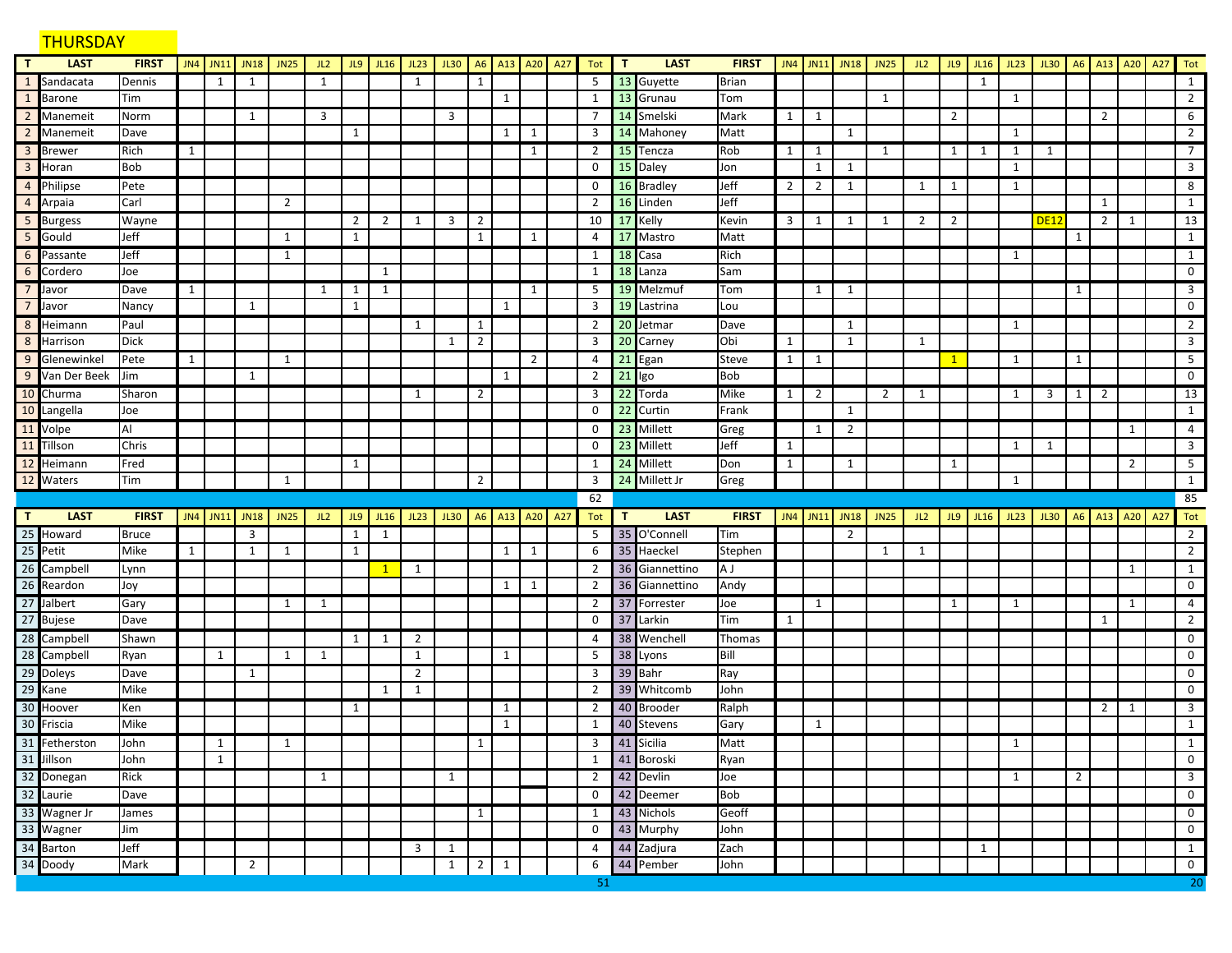# THURSDAY **THURSDAY**

| $\mathbf{T}$            | <b>LAST</b>    | <b>FIRST</b> |              | JN4 JN11     | <b>JN18</b>    | <b>JN25</b>  | JL2          | JL9          | <b>JL16</b>  | JL23         | JL30                |                | A6 A13       | A20 A27        | Tot            | T            | <b>LAST</b>    | <b>FIRST</b> |                | JN4 JN11       | JN18               | <b>JN25</b> | JL2          |              | $JL9$ $JL16$ | JL23         | JL30                     | A6             | A <sub>13</sub> | A20 | A27 | Tot               |
|-------------------------|----------------|--------------|--------------|--------------|----------------|--------------|--------------|--------------|--------------|--------------|---------------------|----------------|--------------|----------------|----------------|--------------|----------------|--------------|----------------|----------------|--------------------|-------------|--------------|--------------|--------------|--------------|--------------------------|----------------|-----------------|-----|-----|-------------------|
| 1                       | Sandacata      | Dennis       |              | 1            | 1              |              | 1            |              |              | 1            |                     | 1              |              |                | 5              |              | 13 Guyette     | <b>Brian</b> |                |                |                    |             |              |              | 1            |              |                          |                |                 |     |     | 1                 |
| $\mathbf{1}$            | <b>Barone</b>  | Tim          |              |              |                |              |              |              |              |              |                     |                | $\mathbf{1}$ |                | $\mathbf{1}$   |              | 13 Grunau      | Tom          |                |                |                    | 1           |              |              |              | 1            |                          |                |                 |     |     | $\overline{2}$    |
|                         | 2 Manemeit     | Norm         |              |              | 1              |              | 3            |              |              |              | 3                   |                |              |                | $\overline{7}$ |              | 14 Smelski     | Mark         | 1              | 1              |                    |             |              | 2            |              |              |                          |                | $\overline{2}$  |     |     | 6                 |
| $\overline{2}$          | Manemeit       | Dave         |              |              |                |              |              | 1            |              |              |                     |                | $\mathbf{1}$ | $\mathbf{1}$   | $\overline{3}$ |              | 14 Mahoney     | Matt         |                |                | 1                  |             |              |              |              | 1            |                          |                |                 |     |     | $\overline{2}$    |
| $\overline{3}$          | <b>Brewer</b>  | Rich         | $\mathbf{1}$ |              |                |              |              |              |              |              |                     |                |              | 1              | $\overline{2}$ |              | 15 Tencza      | Rob          | 1              | 1              |                    | 1           |              | 1            | 1            | 1            | 1                        |                |                 |     |     | $7^{\circ}$       |
| $\overline{\mathbf{3}}$ | Horan          | <b>Bob</b>   |              |              |                |              |              |              |              |              |                     |                |              |                | 0              | 15           | Daley          | Jon          |                | $\mathbf{1}$   | 1                  |             |              |              |              | 1            |                          |                |                 |     |     | 3                 |
| $\overline{4}$          | Philipse       | Pete         |              |              |                |              |              |              |              |              |                     |                |              |                | 0              |              | 16 Bradley     | Jeff         | $\overline{2}$ | $\overline{2}$ | 1                  |             | 1            | 1            |              | 1            |                          |                |                 |     |     | 8                 |
| $\overline{4}$          | Arpaia         | Carl         |              |              |                | 2            |              |              |              |              |                     |                |              |                | $\overline{2}$ | 16           | Linden         | Jeff         |                |                |                    |             |              |              |              |              |                          |                | 1               |     |     | 1                 |
| 5                       | <b>Burgess</b> | Wayne        |              |              |                |              |              | 2            | 2            | 1            | 3                   | $\overline{2}$ |              |                | 10             |              | 17 Kelly       | Kevin        | $\mathbf{3}$   | 1              | 1                  | 1           | 2            | 2            |              |              | <b>DE12</b>              |                | $\overline{2}$  | 1   |     | 13                |
| 5                       | Gould          | Jeff         |              |              |                | 1            |              | 1            |              |              |                     | $\mathbf{1}$   |              | 1              | 4              |              | 17 Mastro      | Matt         |                |                |                    |             |              |              |              |              |                          | 1              |                 |     |     | $\mathbf{1}$      |
| 6                       | Passante       | Jeff         |              |              |                | 1            |              |              |              |              |                     |                |              |                | 1              |              | 18 Casa        | Rich         |                |                |                    |             |              |              |              | 1            |                          |                |                 |     |     | 1                 |
| 6                       | Cordero        | Joe          |              |              |                |              |              |              | 1            |              |                     |                |              |                | $\mathbf{1}$   | 18           | Lanza          | Sam          |                |                |                    |             |              |              |              |              |                          |                |                 |     |     | 0                 |
| $\overline{7}$          | Javor          | Dave         | 1            |              |                |              | 1            | 1            | 1            |              |                     |                |              | 1              | 5              |              | 19 Melzmuf     | Tom          |                | 1              | 1                  |             |              |              |              |              |                          | 1              |                 |     |     | 3                 |
| $\overline{7}$          | Javor          | Nancy        |              |              | 1              |              |              | 1            |              |              |                     |                | 1            |                | $\overline{3}$ | 19           | Lastrina       | Lou          |                |                |                    |             |              |              |              |              |                          |                |                 |     |     | $\mathbf 0$       |
| 8                       | Heimann        | Paul         |              |              |                |              |              |              |              | 1            |                     | 1              |              |                | $\overline{2}$ |              | 20 Jetmar      | Dave         |                |                | 1                  |             |              |              |              | 1            |                          |                |                 |     |     | $\overline{2}$    |
|                         | 8 Harrison     | <b>Dick</b>  |              |              |                |              |              |              |              |              | 1                   | $\overline{2}$ |              |                | 3              | 20           | Carney         | Obi          | 1              |                | 1                  |             | 1            |              |              |              |                          |                |                 |     |     | 3                 |
|                         | 9 Glenewinkel  | Pete         | 1            |              |                | 1            |              |              |              |              |                     |                |              | $\overline{2}$ | 4              |              | 21 Egan        | <b>Steve</b> | 1              | $\mathbf{1}$   |                    |             |              | $\mathbf{1}$ |              | 1            |                          | 1              |                 |     |     | 5                 |
|                         | 9 Van Der Beek | Jim          |              |              | $\mathbf{1}$   |              |              |              |              |              |                     |                | $\mathbf{1}$ |                | $\overline{2}$ |              | $21$ Igo       | Bob          |                |                |                    |             |              |              |              |              |                          |                |                 |     |     | 0                 |
|                         | 10 Churma      | Sharon       |              |              |                |              |              |              |              | 1            |                     | $\overline{2}$ |              |                | 3              |              | 22 Torda       | Mike         | 1              | $\overline{2}$ |                    | 2           | 1            |              |              | 1            | 3                        | 1              | $\overline{2}$  |     |     | 13                |
| $10$                    | Langella       | Joe          |              |              |                |              |              |              |              |              |                     |                |              |                | $\mathbf 0$    | 22           | Curtin         | Frank        |                |                | $\mathbf{1}$       |             |              |              |              |              |                          |                |                 |     |     | $\mathbf{1}$      |
| $11\,$                  | Volpe          | Al           |              |              |                |              |              |              |              |              |                     |                |              |                | 0              |              | 23 Millett     | Greg         |                | 1              | $\overline{2}$     |             |              |              |              |              |                          |                |                 | 1   |     | $\overline{4}$    |
|                         | 11 Tillson     | Chris        |              |              |                |              |              |              |              |              |                     |                |              |                | 0              |              | 23 Millett     | Jeff         | 1              |                |                    |             |              |              |              | 1            | 1                        |                |                 |     |     | $\overline{3}$    |
| 12                      | Heimann        | Fred         |              |              |                |              |              | 1            |              |              |                     |                |              |                | 1              |              | 24 Millett     | Don          | $\mathbf{1}$   |                | 1                  |             |              | 1            |              |              |                          |                |                 | 2   |     | 5                 |
|                         | 12 Waters      | Tim          |              |              |                | 1            |              |              |              |              |                     | $\overline{2}$ |              |                | 3              |              | 24 Millett Jr  | Greg         |                |                |                    |             |              |              |              | 1            |                          |                |                 |     |     | 1                 |
|                         |                |              |              |              |                |              |              |              |              |              |                     |                |              |                |                |              |                |              |                |                |                    |             |              |              |              |              |                          |                |                 |     |     |                   |
|                         |                |              |              |              |                |              |              |              |              |              |                     |                |              |                | 62             |              |                |              |                |                |                    |             |              |              |              |              |                          |                |                 |     |     | 85                |
| T                       | <b>LAST</b>    | <b>FIRST</b> |              | JN4 JN11     | JN18 JN25      |              | JL2          | JL9          | JL16         | JL23         | JL30 A6 A13 A20 A27 |                |              |                | Tot            | $\mathbf{T}$ | <b>LAST</b>    | <b>FIRST</b> |                |                | JN4 JN11 JN18 JN25 |             | JL2          |              | $JL9$ $JL16$ |              | JL23 JL30 A6 A13 A20 A27 |                |                 |     |     | Tot               |
|                         | 25 Howard      | <b>Bruce</b> |              |              | 3              |              |              | 1            | 1            |              |                     |                |              |                | 5              |              | 35 O'Connell   | Tim          |                |                | 2                  |             |              |              |              |              |                          |                |                 |     |     | $\overline{2}$    |
| 25                      | Petit          | Mike         | $\mathbf{1}$ |              | $\mathbf{1}$   | $\mathbf{1}$ |              | $\mathbf{1}$ |              |              |                     |                | $\mathbf{1}$ | $\mathbf{1}$   | 6              | 35           | Haeckel        | Stephen      |                |                |                    | 1           | $\mathbf{1}$ |              |              |              |                          |                |                 |     |     | $2^{\circ}$       |
| 26                      | Campbell       | Lynn         |              |              |                |              |              |              | $\mathbf{1}$ | 1            |                     |                |              |                | $\overline{2}$ |              | 36 Giannettino | IA J         |                |                |                    |             |              |              |              |              |                          |                |                 | 1   |     | $\mathbf{1}$      |
|                         | 26 Reardon     | Joy          |              |              |                |              |              |              |              |              |                     |                | 1            | $\mathbf{1}$   | $\overline{2}$ |              | 36 Giannettino | Andy         |                |                |                    |             |              |              |              |              |                          |                |                 |     |     | 0                 |
|                         | 27 Jalbert     | Gary         |              |              |                | 1            | 1            |              |              |              |                     |                |              |                | $\overline{2}$ |              | 37 Forrester   | Joe          |                | 1              |                    |             |              | 1            |              | 1            |                          |                |                 | 1   |     | $\overline{4}$    |
|                         | 27 Bujese      | Dave         |              |              |                |              |              |              |              |              |                     |                |              |                | 0              |              | 37 Larkin      | Tim          | $\mathbf{1}$   |                |                    |             |              |              |              |              |                          |                | 1               |     |     | $\overline{2}$    |
|                         | 28 Campbell    | Shawn        |              |              |                |              |              | 1            | 1            | 2            |                     |                |              |                | 4              |              | 38 Wenchell    | Thomas       |                |                |                    |             |              |              |              |              |                          |                |                 |     |     | 0                 |
|                         | 28 Campbell    | Ryan         |              | $\mathbf{1}$ |                | 1            | 1            |              |              | $\mathbf{1}$ |                     |                | $\mathbf{1}$ |                | 5              |              | 38 Lyons       | Bill         |                |                |                    |             |              |              |              |              |                          |                |                 |     |     | 0                 |
|                         | 29 Doleys      | Dave         |              |              | 1              |              |              |              |              | 2            |                     |                |              |                | 3              |              | 39 Bahr        | Ray          |                |                |                    |             |              |              |              |              |                          |                |                 |     |     | 0                 |
| 29                      | Kane           | Mike         |              |              |                |              |              |              | 1            | 1            |                     |                |              |                | $\overline{2}$ |              | 39 Whitcomb    | John         |                |                |                    |             |              |              |              |              |                          |                |                 |     |     | 0                 |
|                         | 30 Hoover      | Ken          |              |              |                |              |              | 1            |              |              |                     |                | 1            |                | $\overline{2}$ |              | 40 Brooder     | Ralph        |                |                |                    |             |              |              |              |              |                          |                | $\overline{2}$  | -1  |     | 3                 |
| 30                      | Friscia        | Mike         |              |              |                |              |              |              |              |              |                     |                | 1            |                | 1              | 40           | Stevens        | Gary         |                | 1              |                    |             |              |              |              |              |                          |                |                 |     |     | 1                 |
|                         | 31 Fetherston  | John         |              | 1            |                | 1            |              |              |              |              |                     | $\mathbf{1}$   |              |                | 3              |              | 41 Sicilia     | Matt         |                |                |                    |             |              |              |              | 1            |                          |                |                 |     |     | $\mathbf{1}$      |
|                         | 31 Jillson     | John         |              | $\mathbf{1}$ |                |              |              |              |              |              |                     |                |              |                | $\mathbf{1}$   |              | 41 Boroski     | Ryan         |                |                |                    |             |              |              |              |              |                          |                |                 |     |     | $\mathbf 0$       |
|                         | 32 Donegan     | Rick         |              |              |                |              | $\mathbf{1}$ |              |              |              | $\mathbf{1}$        |                |              |                | $\overline{2}$ |              | 42 Devlin      | Joe          |                |                |                    |             |              |              |              | $\mathbf{1}$ |                          | $\overline{2}$ |                 |     |     | $\mathbf{3}$      |
|                         | 32 Laurie      | Dave         |              |              |                |              |              |              |              |              |                     |                |              |                | $\mathbf 0$    |              | 42 Deemer      | Bob          |                |                |                    |             |              |              |              |              |                          |                |                 |     |     | $\mathbf 0$       |
|                         | 33 Wagner Jr   | James        |              |              |                |              |              |              |              |              |                     | $\mathbf{1}$   |              |                | 1              |              | 43 Nichols     | Geoff        |                |                |                    |             |              |              |              |              |                          |                |                 |     |     | $\mathsf{O}$      |
|                         | 33 Wagner      | Jim          |              |              |                |              |              |              |              |              |                     |                |              |                | $\mathbf 0$    |              | 43 Murphy      | John         |                |                |                    |             |              |              |              |              |                          |                |                 |     |     | $\mathbf 0$       |
|                         | 34 Barton      | Jeff         |              |              |                |              |              |              |              | 3            | $\mathbf{1}$        |                |              |                | $\overline{4}$ |              | 44 Zadjura     | Zach         |                |                |                    |             |              |              | $\mathbf{1}$ |              |                          |                |                 |     |     | $\mathbf{1}$      |
|                         | 34 Doody       | Mark         |              |              | $\overline{2}$ |              |              |              |              |              | $\mathbf{1}$        | $\overline{2}$ | $\mathbf{1}$ |                | 6<br>51        |              | 44 Pember      | John         |                |                |                    |             |              |              |              |              |                          |                |                 |     |     | $\mathbf 0$<br>20 |